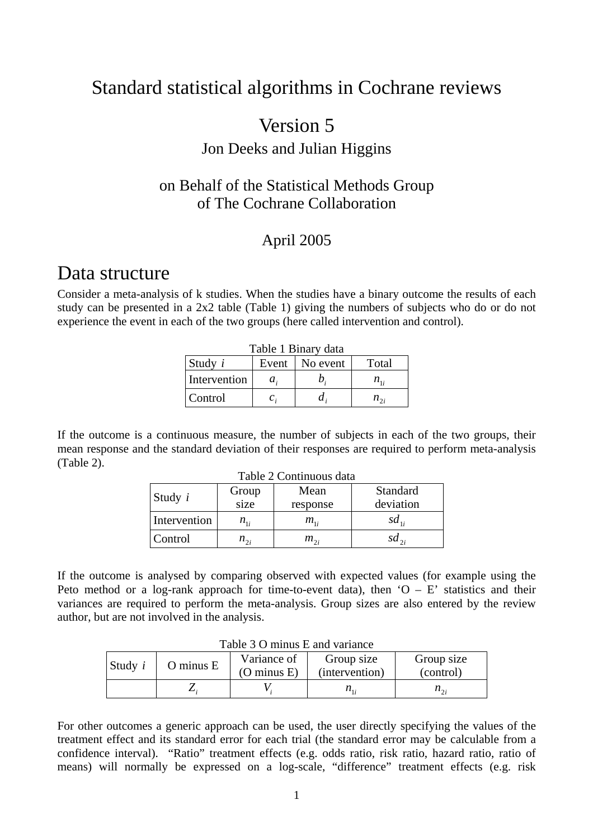## Standard statistical algorithms in Cochrane reviews

## Version 5

## Jon Deeks and Julian Higgins

## on Behalf of the Statistical Methods Group of The Cochrane Collaboration

## April 2005

## Data structure

Consider a meta-analysis of k studies. When the studies have a binary outcome the results of each study can be presented in a 2x2 table (Table 1) giving the numbers of subjects who do or do not experience the event in each of the two groups (here called intervention and control).

| Table 1 Binary data |             |                  |                            |  |
|---------------------|-------------|------------------|----------------------------|--|
| Study $i$           |             | Event   No event | Total                      |  |
| Intervention        | $a_{.}$     | Ŋ.               | $n_{\scriptscriptstyle 1}$ |  |
| <b>Control</b>      | $c_{\cdot}$ |                  | $n_{\gamma}$               |  |

If the outcome is a continuous measure, the number of subjects in each of the two groups, their mean response and the standard deviation of their responses are required to perform meta-analysis (Table 2).

| Table 2 Continuous data |                            |          |           |  |
|-------------------------|----------------------------|----------|-----------|--|
| Study $i$               | Group                      | Mean     | Standard  |  |
|                         | size                       | response | deviation |  |
| Intervention            | $n_{\scriptscriptstyle 1}$ | $m_{1i}$ | $sd_{1i}$ |  |
| Control                 | $n_{2i}$                   | $m_{2i}$ | $sd_{2i}$ |  |

If the outcome is analysed by comparing observed with expected values (for example using the Peto method or a log-rank approach for time-to-event data), then  $O - E'$  statistics and their variances are required to perform the meta-analysis. Group sizes are also entered by the review author, but are not involved in the analysis.

| $1$ ave $3 \cup 1$ minus E and variance |               |                        |                |              |
|-----------------------------------------|---------------|------------------------|----------------|--------------|
| Study $i$                               | $O$ minus $E$ | Variance of            | Group size     | Group size   |
|                                         |               | $(O \text{ minus } E)$ | (intervention) | (control)    |
|                                         |               |                        | $n_{1}$        | $n_{\gamma}$ |

| Table 3 O minus E and variance |  |
|--------------------------------|--|
|--------------------------------|--|

For other outcomes a generic approach can be used, the user directly specifying the values of the treatment effect and its standard error for each trial (the standard error may be calculable from a confidence interval). "Ratio" treatment effects (e.g. odds ratio, risk ratio, hazard ratio, ratio of means) will normally be expressed on a log-scale, "difference" treatment effects (e.g. risk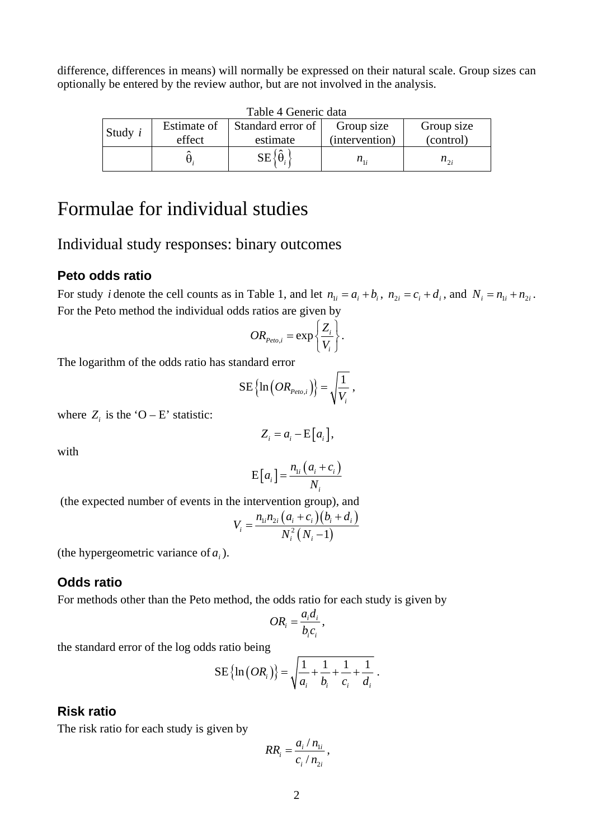difference, differences in means) will normally be expressed on their natural scale. Group sizes can optionally be entered by the review author, but are not involved in the analysis.

| Tuoto – Ochere uutu |             |                                     |                |              |  |
|---------------------|-------------|-------------------------------------|----------------|--------------|--|
| Study $i$           | Estimate of | Standard error of                   | Group size     | Group size   |  |
|                     | effect      | estimate                            | (intervention) | (control)    |  |
|                     |             | $\hat{\phantom{a}}$<br>$SE\{\theta$ | $n_{1}$        | $n_{\gamma}$ |  |

Table 4 Generic data

# Formulae for individual studies

## Individual study responses: binary outcomes

### **Peto odds ratio**

For study *i* denote the cell counts as in Table 1, and let  $n_{1i} = a_i + b_i$ ,  $n_{2i} = c_i + d_i$ , and  $N_i = n_{1i} + n_{2i}$ . For the Peto method the individual odds ratios are given by

$$
OR_{Peto,i} = \exp\left\{\frac{Z_i}{V_i}\right\}.
$$

The logarithm of the odds ratio has standard error

$$
\mathrm{SE}\left\{\ln\left(OR_{Peto,i}\right)\right\} = \sqrt{\frac{1}{V_i}} \ ,
$$

where  $Z_i$  is the 'O – E' statistic:

$$
Z_i = a_i - \mathrm{E}\big[a_i\big],
$$

with

$$
E[a_i] = \frac{n_{1i}(a_i + c_i)}{N_i}
$$

(the expected number of events in the intervention group), and

$$
V_i = \frac{n_{1i}n_{2i}(a_i + c_i)(b_i + d_i)}{N_i^2(N_i - 1)}
$$

(the hypergeometric variance of  $a_i$ ).

### **Odds ratio**

For methods other than the Peto method, the odds ratio for each study is given by

$$
OR_i = \frac{a_i d_i}{b_i c_i},
$$

the standard error of the log odds ratio being

$$
SE\{\ln (OR_i)\} = \sqrt{\frac{1}{a_i} + \frac{1}{b_i} + \frac{1}{c_i} + \frac{1}{d_i}}.
$$

### **Risk ratio**

The risk ratio for each study is given by

$$
RR_i = \frac{a_i / n_{1i}}{c_i / n_{2i}},
$$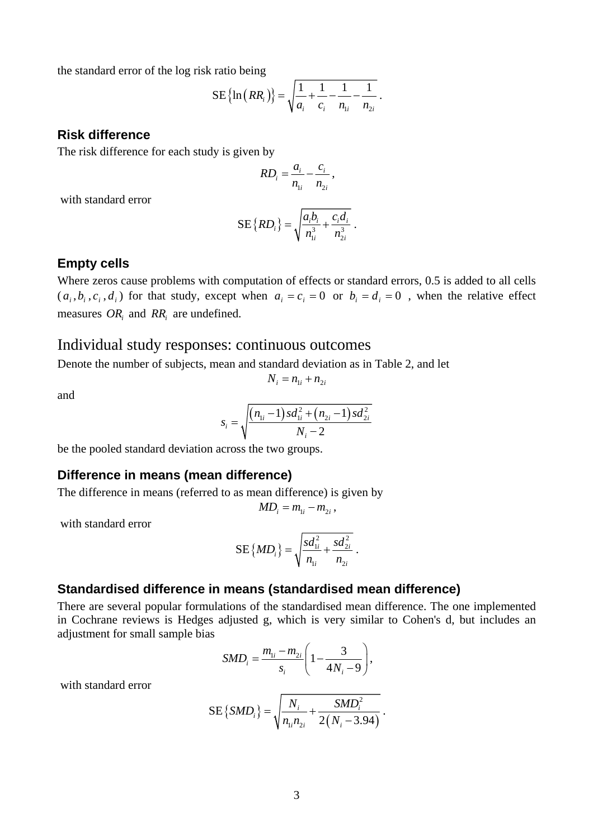the standard error of the log risk ratio being

$$
SE\left\{\ln\left(RR_i\right)\right\} = \sqrt{\frac{1}{a_i} + \frac{1}{c_i} - \frac{1}{n_{1i}} - \frac{1}{n_{2i}}}.
$$

#### **Risk difference**

The risk difference for each study is given by

$$
RD_i = \frac{a_i}{n_{1i}} - \frac{c_i}{n_{2i}},
$$

with standard error

$$
SE\{RD_i\} = \sqrt{\frac{a_i b_i}{n_{1i}^3} + \frac{c_i d_i}{n_{2i}^3}}.
$$

#### **Empty cells**

Where zeros cause problems with computation of effects or standard errors, 0.5 is added to all cells  $(a_i, b_i, c_i, d_i)$  for that study, except when  $a_i = c_i = 0$  or  $b_i = d_i = 0$ , when the relative effect measures *OR<sub>i</sub>* and *RR<sub>i</sub>* are undefined.

## Individual study responses: continuous outcomes

Denote the number of subjects, mean and standard deviation as in Table 2, and let

$$
N_i = n_{1i} + n_{2i}
$$

and

$$
s_i = \sqrt{\frac{(n_{1i} - 1)sd_{1i}^2 + (n_{2i} - 1)sd_{2i}^2}{N_i - 2}}
$$

be the pooled standard deviation across the two groups.

### **Difference in means (mean difference)**

The difference in means (referred to as mean difference) is given by

$$
MD_i = m_{1i} - m_{2i},
$$

with standard error

$$
SE\{MD_i\} = \sqrt{\frac{sd_{1i}^2}{n_{1i}} + \frac{sd_{2i}^2}{n_{2i}}}.
$$

#### **Standardised difference in means (standardised mean difference)**

There are several popular formulations of the standardised mean difference. The one implemented in Cochrane reviews is Hedges adjusted g, which is very similar to Cohen's d, but includes an adjustment for small sample bias

$$
SMD_i = \frac{m_{1i} - m_{2i}}{s_i} \left( 1 - \frac{3}{4N_i - 9} \right),
$$

with standard error

$$
SE\{SMD_i\} = \sqrt{\frac{N_i}{n_{1i}n_{2i}} + \frac{SMD_i^2}{2(N_i - 3.94)}}.
$$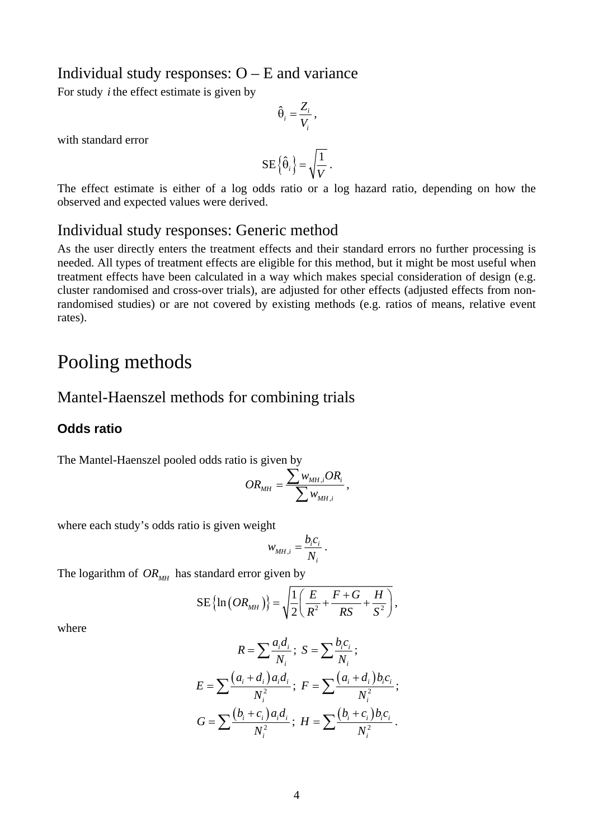## Individual study responses: O – E and variance

For study *i* the effect estimate is given by

$$
\hat{\Theta}_i = \frac{Z_i}{V_i},
$$

with standard error

$$
\text{SE}\left\{\hat{\Theta}_i\right\} = \sqrt{\frac{1}{V}} \; .
$$

The effect estimate is either of a log odds ratio or a log hazard ratio, depending on how the observed and expected values were derived.

## Individual study responses: Generic method

As the user directly enters the treatment effects and their standard errors no further processing is needed. All types of treatment effects are eligible for this method, but it might be most useful when treatment effects have been calculated in a way which makes special consideration of design (e.g. cluster randomised and cross-over trials), are adjusted for other effects (adjusted effects from nonrandomised studies) or are not covered by existing methods (e.g. ratios of means, relative event rates).

## Pooling methods

### Mantel-Haenszel methods for combining trials

### **Odds ratio**

The Mantel-Haenszel pooled odds ratio is given by

$$
OR_{MH} = \frac{\sum w_{MH,i} OR_i}{\sum w_{MH,i}},
$$

where each study's odds ratio is given weight

$$
w_{MH,i} = \frac{b_i c_i}{N_i}.
$$

The logarithm of  $OR_{MH}$  has standard error given by

$$
SE\left\{\ln\left(OR_{MH}\right)\right\} = \sqrt{\frac{1}{2}\left(\frac{E}{R^2} + \frac{F+G}{RS} + \frac{H}{S^2}\right)},
$$

where

$$
R = \sum \frac{a_i d_i}{N_i}; \ S = \sum \frac{b_i c_i}{N_i};
$$
  
\n
$$
E = \sum \frac{(a_i + d_i) a_i d_i}{N_i^2}; \ F = \sum \frac{(a_i + d_i) b_i c_i}{N_i^2};
$$
  
\n
$$
G = \sum \frac{(b_i + c_i) a_i d_i}{N_i^2}; \ H = \sum \frac{(b_i + c_i) b_i c_i}{N_i^2}.
$$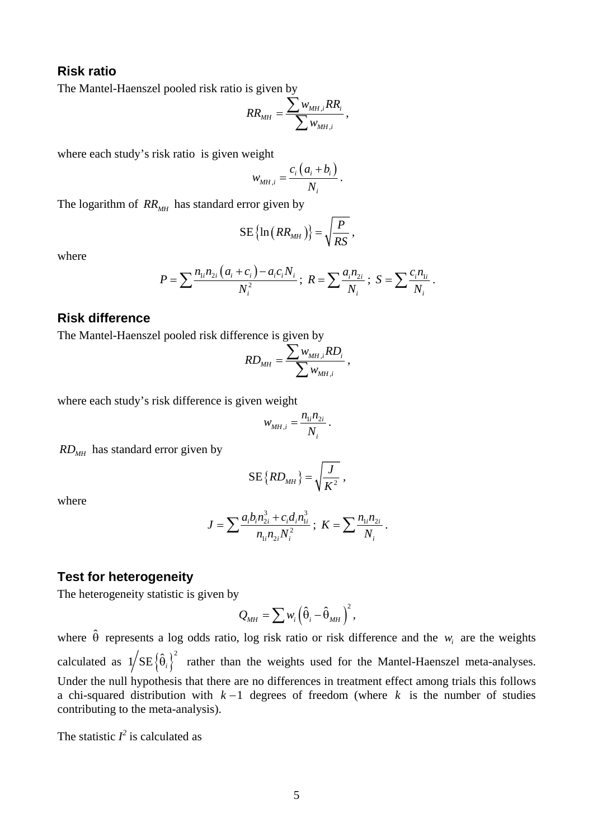### **Risk ratio**

The Mantel-Haenszel pooled risk ratio is given by

$$
RR_{MH} = \frac{\sum w_{MH,i}RR_i}{\sum w_{MH,i}},
$$

where each study's risk ratio is given weight

$$
W_{MH,i} = \frac{c_i \left( a_i + b_i \right)}{N_i}.
$$

The logarithm of  $RR_{MH}$  has standard error given by

$$
SE\left\{\ln\left(RR_{MH}\right)\right\} = \sqrt{\frac{P}{RS}}\,,
$$

where

$$
P = \sum \frac{n_{1i}n_{2i}(a_i + c_i) - a_ic_iN_i}{N_i^2}; \ R = \sum \frac{a_in_{2i}}{N_i}; \ S = \sum \frac{c_in_{1i}}{N_i}.
$$

### **Risk difference**

The Mantel-Haenszel pooled risk difference is given by

$$
RD_{MH} = \frac{\sum w_{MH,i} RD_i}{\sum w_{MH,i}},
$$

where each study's risk difference is given weight

$$
W_{MH,i} = \frac{n_{1i}n_{2i}}{N_i}.
$$

 $RD<sub>MH</sub>$  has standard error given by

$$
\text{SE}\left\{RD_{MH}\right\} = \sqrt{\frac{J}{K^2}} \ ,
$$

where

$$
J = \sum \frac{a_i b_i n_{2i}^3 + c_i d_i n_{1i}^3}{n_{1i} n_{2i} N_i^2}; \ K = \sum \frac{n_{1i} n_{2i}}{N_i}.
$$

#### **Test for heterogeneity**

The heterogeneity statistic is given by

$$
Q_{MH} = \sum w_i \left( \hat{\theta}_i - \hat{\theta}_{MH} \right)^2,
$$

where  $\hat{\theta}$  represents a log odds ratio, log risk ratio or risk difference and the  $w_i$  are the weights calculated as  $1/SE\{\hat{\theta}_i\}^2$  rather than the weights used for the Mantel-Haenszel meta-analyses. Under the null hypothesis that there are no differences in treatment effect among trials this follows a chi-squared distribution with  $k-1$  degrees of freedom (where k is the number of studies contributing to the meta-analysis).

The statistic  $I^2$  is calculated as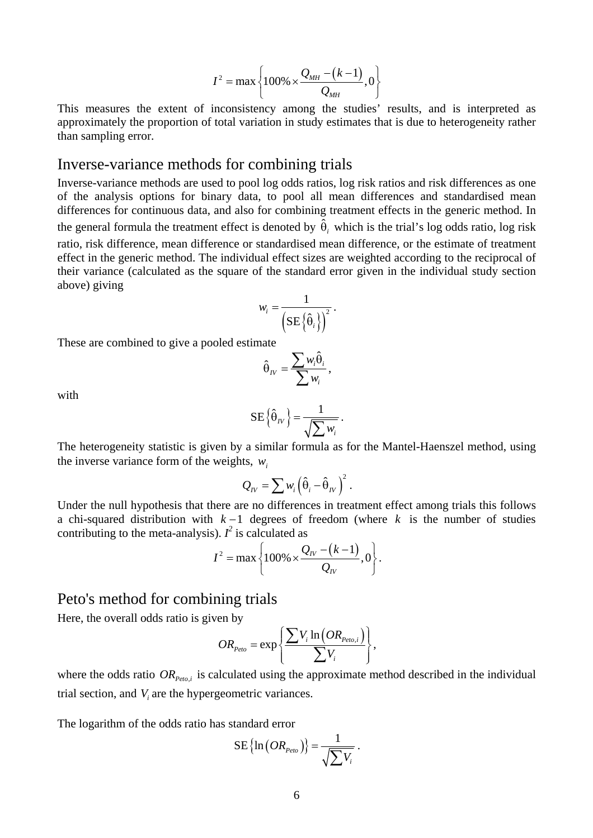$$
I^{2} = \max \left\{ 100\% \times \frac{Q_{MH} - (k-1)}{Q_{MH}}, 0 \right\}
$$

This measures the extent of inconsistency among the studies' results, and is interpreted as approximately the proportion of total variation in study estimates that is due to heterogeneity rather than sampling error.

### Inverse-variance methods for combining trials

Inverse-variance methods are used to pool log odds ratios, log risk ratios and risk differences as one of the analysis options for binary data, to pool all mean differences and standardised mean differences for continuous data, and also for combining treatment effects in the generic method. In the general formula the treatment effect is denoted by  $\hat{\theta}_i$  which is the trial's log odds ratio, log risk ratio, risk difference, mean difference or standardised mean difference, or the estimate of treatment effect in the generic method. The individual effect sizes are weighted according to the reciprocal of their variance (calculated as the square of the standard error given in the individual study section above) giving

$$
w_i = \frac{1}{\left(\text{SE}\left\{\hat{\theta}_i\right\}\right)^2}.
$$

These are combined to give a pooled estimate

$$
\hat{\Theta}_{IV} = \frac{\sum w_i \hat{\Theta}_i}{\sum w_i},
$$

with

$$
\text{SE}\left\{\hat{\theta}_{IV}\right\} = \frac{1}{\sqrt{\sum w_i}}.
$$

The heterogeneity statistic is given by a similar formula as for the Mantel-Haenszel method, using the inverse variance form of the weights,  $w_i$ 

$$
Q_{IV} = \sum w_i \left( \hat{\theta}_i - \hat{\theta}_{IV} \right)^2.
$$

Under the null hypothesis that there are no differences in treatment effect among trials this follows a chi-squared distribution with  $k-1$  degrees of freedom (where k is the number of studies contributing to the meta-analysis).  $I^2$  is calculated as

$$
I^{2} = \max \left\{ 100\% \times \frac{Q_{IV} - (k-1)}{Q_{IV}}, 0 \right\}.
$$

### Peto's method for combining trials

Here, the overall odds ratio is given by

$$
OR_{Peto} = \exp\left\{\frac{\sum V_i \ln\left(OR_{Peto,i}\right)}{\sum V_i}\right\},\,
$$

where the odds ratio  $OR_{p_{eto,i}}$  is calculated using the approximate method described in the individual trial section, and  $V_i$  are the hypergeometric variances.

The logarithm of the odds ratio has standard error

$$
\text{SE}\left\{\ln\left(OR_{\scriptscriptstyle{Peto}}\right)\right\} = \frac{1}{\sqrt{\sum V_i}}.
$$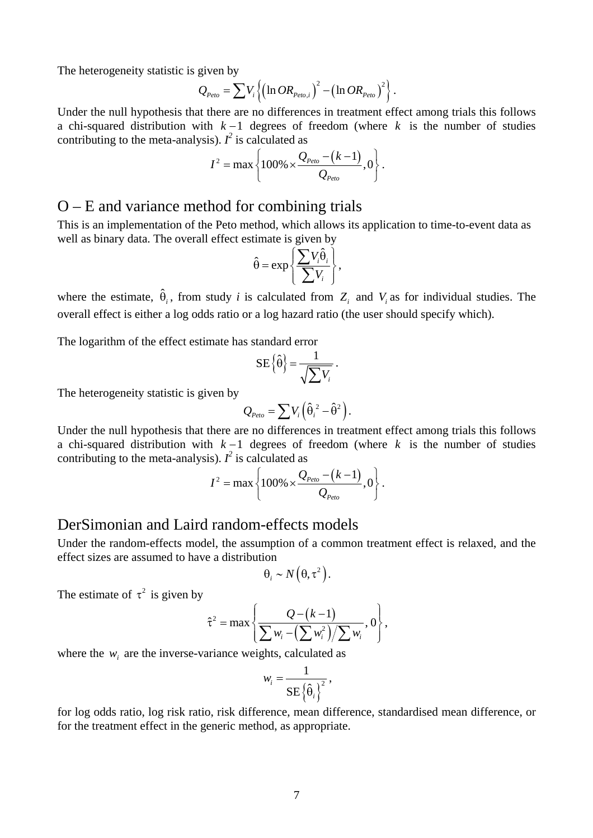The heterogeneity statistic is given by

$$
Q_{Peto} = \sum V_i \left\{ \left( \ln OR_{Peto,i} \right)^2 - \left( \ln OR_{Peto} \right)^2 \right\}.
$$

Under the null hypothesis that there are no differences in treatment effect among trials this follows a chi-squared distribution with  $k-1$  degrees of freedom (where k is the number of studies contributing to the meta-analysis).  $I^2$  is calculated as

$$
I^{2} = \max \left\{ 100\% \times \frac{Q_{Peto} - (k-1)}{Q_{Peto}}, 0 \right\}.
$$

## O – E and variance method for combining trials

This is an implementation of the Peto method, which allows its application to time-to-event data as well as binary data. The overall effect estimate is given by

$$
\hat{\theta} = \exp\left\{\frac{\sum V_i \hat{\theta}_i}{\sum V_i}\right\},\
$$

where the estimate,  $\hat{\theta}_i$ , from study *i* is calculated from  $Z_i$  and  $V_i$  as for individual studies. The overall effect is either a log odds ratio or a log hazard ratio (the user should specify which).

The logarithm of the effect estimate has standard error

$$
\mathbf{SE}\left\{\hat{\theta}\right\} = \frac{1}{\sqrt{\sum V_i}}.
$$

The heterogeneity statistic is given by

$$
Q_{Peto} = \sum V_i \left( \hat{\theta}_i^2 - \hat{\theta}^2 \right).
$$

Under the null hypothesis that there are no differences in treatment effect among trials this follows a chi-squared distribution with  $k-1$  degrees of freedom (where k is the number of studies contributing to the meta-analysis).  $I^2$  is calculated as

$$
I^{2} = \max \left\{ 100\% \times \frac{Q_{Peto} - (k-1)}{Q_{Peto}}, 0 \right\}.
$$

## DerSimonian and Laird random-effects models

Under the random-effects model, the assumption of a common treatment effect is relaxed, and the effect sizes are assumed to have a distribution

$$
\theta_i \sim N(\theta, \tau^2).
$$

The estimate of  $\tau^2$  is given by

$$
\hat{\tau}^2 = \max \left\{ \frac{Q - (k-1)}{\sum w_i - (\sum w_i^2)/\sum w_i}, 0 \right\},\,
$$

where the  $w_i$  are the inverse-variance weights, calculated as

$$
w_i = \frac{1}{\text{SE} \left\{\hat{\theta}_i\right\}^2},
$$

for log odds ratio, log risk ratio, risk difference, mean difference, standardised mean difference, or for the treatment effect in the generic method, as appropriate.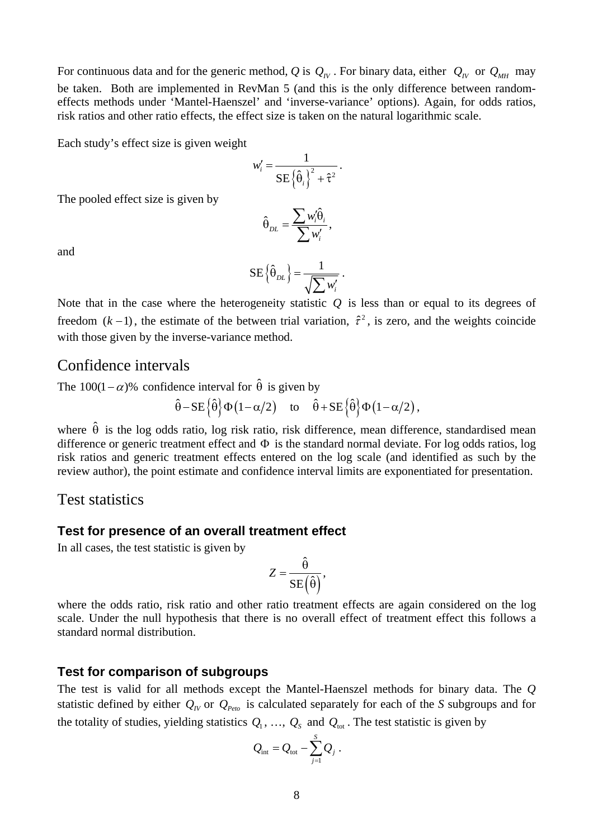For continuous data and for the generic method, Q is  $Q_N$ . For binary data, either  $Q_N$  or  $Q_{MH}$  may be taken. Both are implemented in RevMan 5 (and this is the only difference between randomeffects methods under 'Mantel-Haenszel' and 'inverse-variance' options). Again, for odds ratios, risk ratios and other ratio effects, the effect size is taken on the natural logarithmic scale.

Each study's effect size is given weight

$$
w_i' = \frac{1}{\text{SE}\left\{\hat{\theta}_i\right\}^2 + \hat{\tau}^2}.
$$

The pooled effect size is given by

$$
\hat{\boldsymbol{\theta}}_{\text{DL}} = \frac{\sum w_i^{\prime} \hat{\boldsymbol{\theta}}_i}{\sum w_i^{\prime}},
$$

and

$$
\text{SE}\left\{\hat{\theta}_{DL}\right\} = \frac{1}{\sqrt{\sum w'_i}}.
$$

Note that in the case where the heterogeneity statistic  $Q$  is less than or equal to its degrees of freedom  $(k-1)$ , the estimate of the between trial variation,  $\hat{\tau}^2$ , is zero, and the weights coincide with those given by the inverse-variance method.

## Confidence intervals

The 100(1 –  $\alpha$ )% confidence interval for  $\hat{\theta}$  is given by

$$
\hat{\theta} - SE\{\hat{\theta}\}\Phi(1-\alpha/2)
$$
 to  $\hat{\theta} + SE\{\hat{\theta}\}\Phi(1-\alpha/2)$ ,

where  $\hat{\theta}$  is the log odds ratio, log risk ratio, risk difference, mean difference, standardised mean difference or generic treatment effect and Φ is the standard normal deviate. For log odds ratios, log risk ratios and generic treatment effects entered on the log scale (and identified as such by the review author), the point estimate and confidence interval limits are exponentiated for presentation.

### Test statistics

#### **Test for presence of an overall treatment effect**

In all cases, the test statistic is given by

$$
Z = \frac{\hat{\theta}}{SE(\hat{\theta})},
$$

where the odds ratio, risk ratio and other ratio treatment effects are again considered on the log scale. Under the null hypothesis that there is no overall effect of treatment effect this follows a standard normal distribution.

### **Test for comparison of subgroups**

The test is valid for all methods except the Mantel-Haenszel methods for binary data. The *Q* statistic defined by either  $Q_{IV}$  or  $Q_{Peto}$  is calculated separately for each of the *S* subgroups and for the totality of studies, yielding statistics  $Q_1, \ldots, Q_s$  and  $Q_{\text{tot}}$ . The test statistic is given by

$$
Q_{\text{int}} = Q_{\text{tot}} - \sum_{j=1}^{S} Q_j.
$$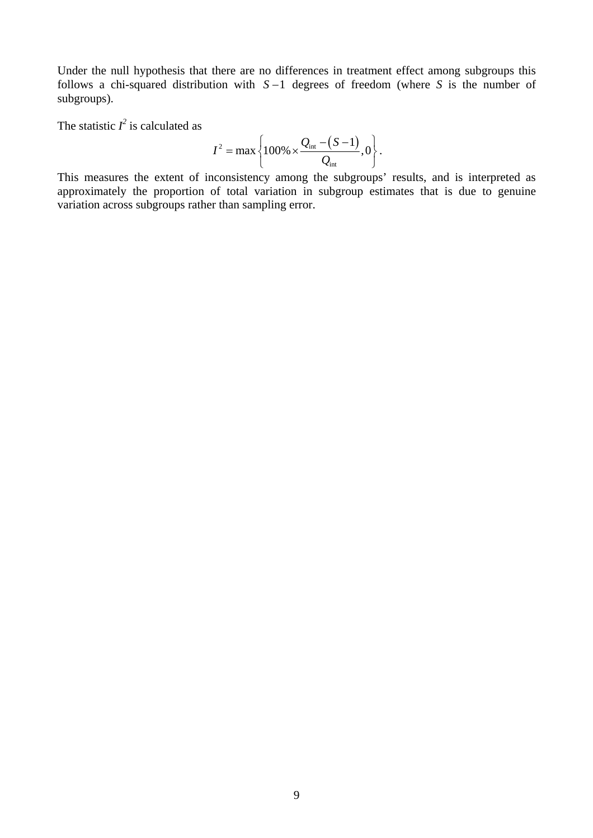Under the null hypothesis that there are no differences in treatment effect among subgroups this follows a chi-squared distribution with  $S-1$  degrees of freedom (where *S* is the number of subgroups).

The statistic  $I^2$  is calculated as

$$
I^{2} = \max \left\{ 100\% \times \frac{Q_{\text{int}} - (S - 1)}{Q_{\text{int}}}, 0 \right\}.
$$

This measures the extent of inconsistency among the subgroups' results, and is interpreted as approximately the proportion of total variation in subgroup estimates that is due to genuine variation across subgroups rather than sampling error.